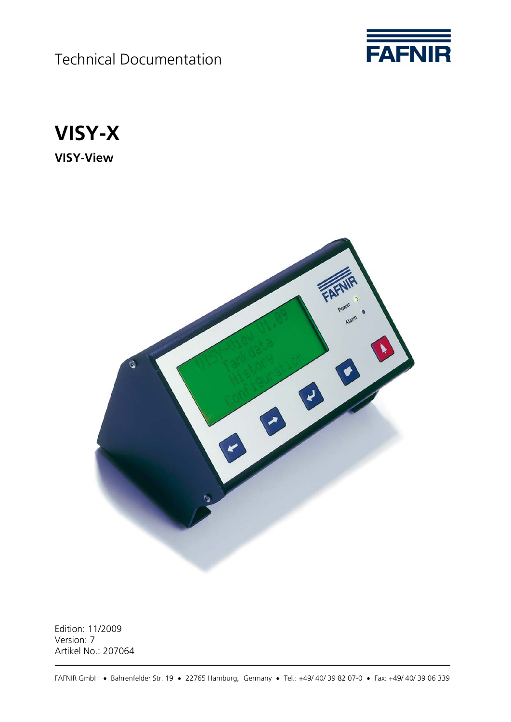Technical Documentation







Edition: 11/2009 Version: 7 Artikel No.: 207064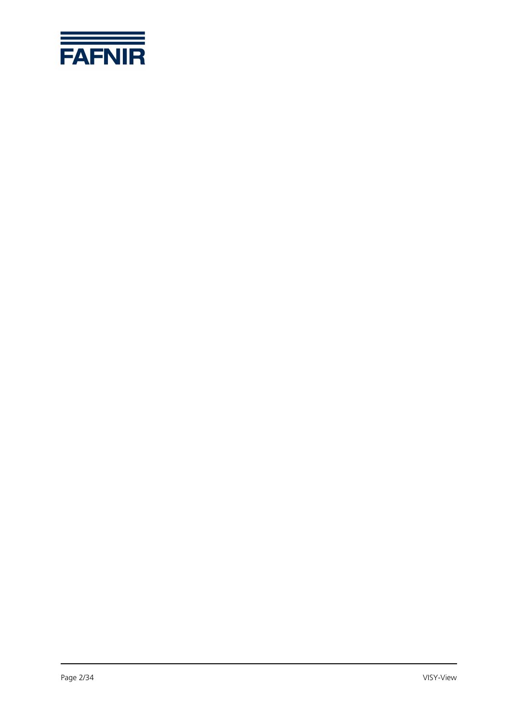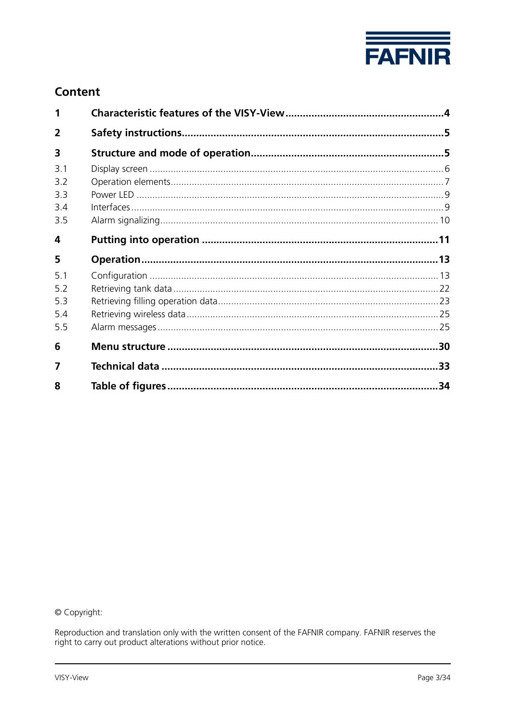

### **Content**

| 1                |     |
|------------------|-----|
| $\overline{2}$   |     |
| 3                |     |
| $\overline{3}$ 1 |     |
| 3.2              |     |
| 33               |     |
| 3.4              |     |
| 3.5              |     |
| 4                |     |
| 5                |     |
| 5.1              |     |
| 5.2              |     |
| 5.3              |     |
| 5.4              |     |
| 5.5              |     |
| 6                |     |
| 7                | .33 |
| 8                |     |

© Copyright:

Reproduction and translation only with the written consent of the FAFNIR company. FAFNIR reserves the right to carry out product alterations without prior notice.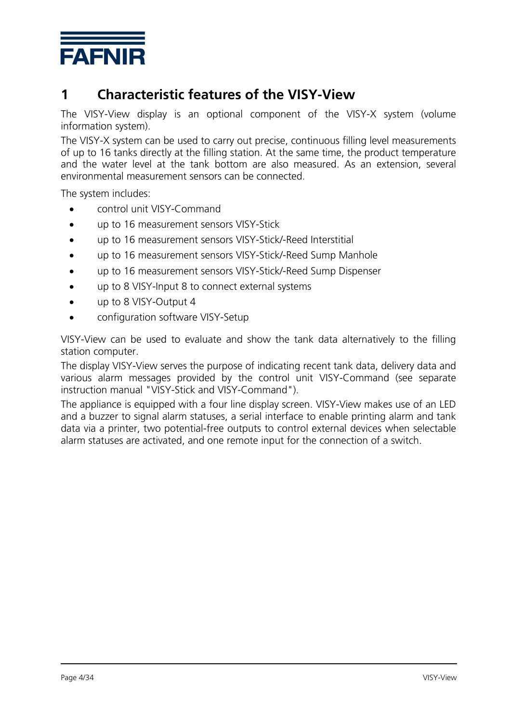

# <span id="page-3-0"></span>**1 Characteristic features of the VISY-View**

The VISY-View display is an optional component of the VISY-X system (volume information system).

The VISY-X system can be used to carry out precise, continuous filling level measurements of up to 16 tanks directly at the filling station. At the same time, the product temperature and the water level at the tank bottom are also measured. As an extension, several environmental measurement sensors can be connected.

The system includes:

- control unit VISY-Command
- up to 16 measurement sensors VISY-Stick
- up to 16 measurement sensors VISY-Stick/-Reed Interstitial
- up to 16 measurement sensors VISY-Stick/-Reed Sump Manhole
- up to 16 measurement sensors VISY-Stick/-Reed Sump Dispenser
- up to 8 VISY-Input 8 to connect external systems
- up to 8 VISY-Output 4
- configuration software VISY-Setup

VISY-View can be used to evaluate and show the tank data alternatively to the filling station computer.

The display VISY-View serves the purpose of indicating recent tank data, delivery data and various alarm messages provided by the control unit VISY-Command (see separate instruction manual "VISY-Stick and VISY-Command").

The appliance is equipped with a four line display screen. VISY-View makes use of an LED and a buzzer to signal alarm statuses, a serial interface to enable printing alarm and tank data via a printer, two potential-free outputs to control external devices when selectable alarm statuses are activated, and one remote input for the connection of a switch.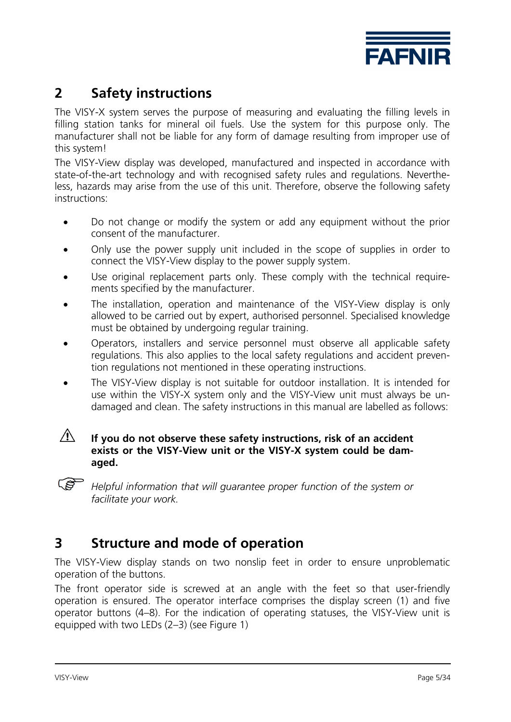

# <span id="page-4-0"></span>**2 Safety instructions**

The VISY-X system serves the purpose of measuring and evaluating the filling levels in filling station tanks for mineral oil fuels. Use the system for this purpose only. The manufacturer shall not be liable for any form of damage resulting from improper use of this system!

The VISY-View display was developed, manufactured and inspected in accordance with state-of-the-art technology and with recognised safety rules and regulations. Nevertheless, hazards may arise from the use of this unit. Therefore, observe the following safety instructions:

- Do not change or modify the system or add any equipment without the prior consent of the manufacturer.
- Only use the power supply unit included in the scope of supplies in order to connect the VISY-View display to the power supply system.
- Use original replacement parts only. These comply with the technical requirements specified by the manufacturer.
- The installation, operation and maintenance of the VISY-View display is only allowed to be carried out by expert, authorised personnel. Specialised knowledge must be obtained by undergoing regular training.
- Operators, installers and service personnel must observe all applicable safety regulations. This also applies to the local safety regulations and accident prevention regulations not mentioned in these operating instructions.
- The VISY-View display is not suitable for outdoor installation. It is intended for use within the VISY-X system only and the VISY-View unit must always be undamaged and clean. The safety instructions in this manual are labelled as follows:

#### $\bigwedge$ **If you do not observe these safety instructions, risk of an accident exists or the VISY-View unit or the VISY-X system could be damaged.**

 $\mathbb{Q}$ 

*Helpful information that will guarantee proper function of the system or facilitate your work.* 

# <span id="page-4-1"></span>**3 Structure and mode of operation**

The VISY-View display stands on two nonslip feet in order to ensure unproblematic operation of the buttons.

The front operator side is screwed at an angle with the feet so that user-friendly operation is ensured. The operator interface comprises the display screen (1) and five operator buttons (4–8). For the indication of operating statuses, the VISY-View unit is equipped with two LEDs (2–3) (see [Figure 1\)](#page-5-1)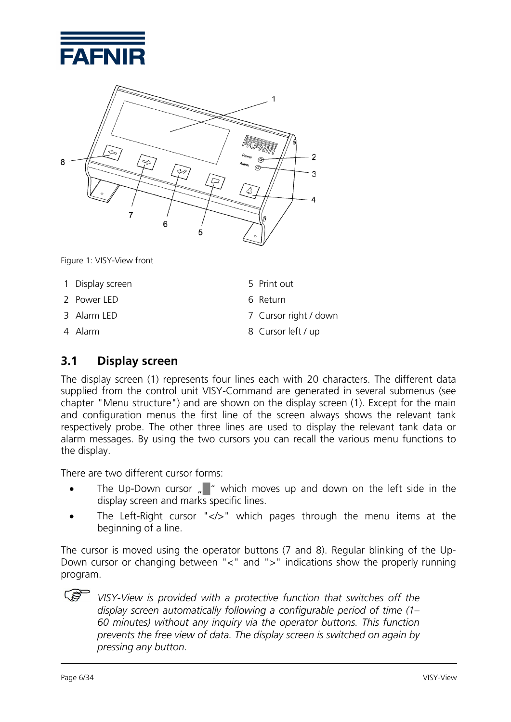



<span id="page-5-1"></span>Figure 1: VISY-View front

- 1 Display screen 5 Print out
- 2 Power LED 6 Return
- 
- 
- 
- 
- 3 Alarm LED 7 Cursor right / down
- 4 Alarm 8 Cursor left / up

### <span id="page-5-0"></span>**3.1 Display screen**

The display screen (1) represents four lines each with 20 characters. The different data supplied from the control unit VISY-Command are generated in several submenus (see chapter "Menu structure") and are shown on the display screen (1). Except for the main and configuration menus the first line of the screen always shows the relevant tank respectively probe. The other three lines are used to display the relevant tank data or alarm messages. By using the two cursors you can recall the various menu functions to the display.

There are two different cursor forms:

- The Up-Down cursor  $\sqrt{2}$  " which moves up and down on the left side in the display screen and marks specific lines.
- The Left-Right cursor "</>" which pages through the menu items at the beginning of a line.

The cursor is moved using the operator buttons (7 and 8). Regular blinking of the Up-Down cursor or changing between "<" and ">" indications show the properly running program.

**R** 

*VISY-View is provided with a protective function that switches off the display screen automatically following a configurable period of time (1– 60 minutes) without any inquiry via the operator buttons. This function prevents the free view of data. The display screen is switched on again by pressing any button.*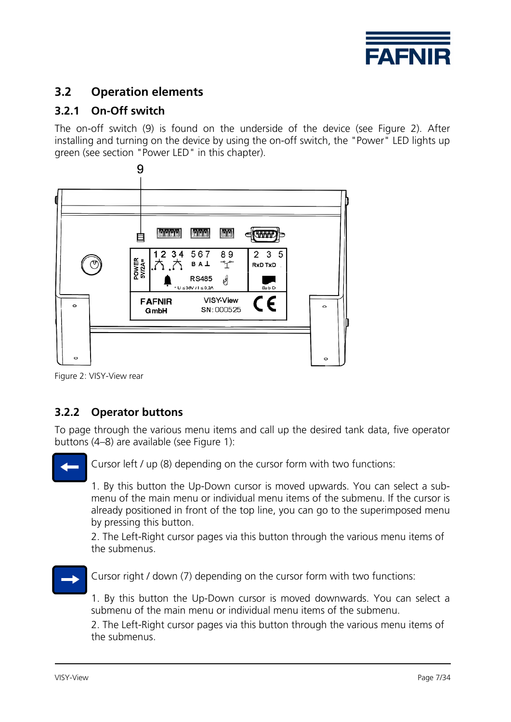

### <span id="page-6-0"></span>**3.2 Operation elements**

### **3.2.1 On-Off switch**

The on-off switch (9) is found on the underside of the device (see [Figure 2](#page-6-1)). After installing and turning on the device by using the on-off switch, the "Power" LED lights up green (see section "Power LED" in this chapter).



<span id="page-6-1"></span>Figure 2: VISY-View rear

### **3.2.2 Operator buttons**

To page through the various menu items and call up the desired tank data, five operator buttons (4–8) are available (see [Figure 1](#page-5-1)):



Cursor left / up (8) depending on the cursor form with two functions:

1. By this button the Up-Down cursor is moved upwards. You can select a submenu of the main menu or individual menu items of the submenu. If the cursor is already positioned in front of the top line, you can go to the superimposed menu by pressing this button.

2. The Left-Right cursor pages via this button through the various menu items of the submenus.



Cursor right / down (7) depending on the cursor form with two functions:

1. By this button the Up-Down cursor is moved downwards. You can select a submenu of the main menu or individual menu items of the submenu.

2. The Left-Right cursor pages via this button through the various menu items of the submenus.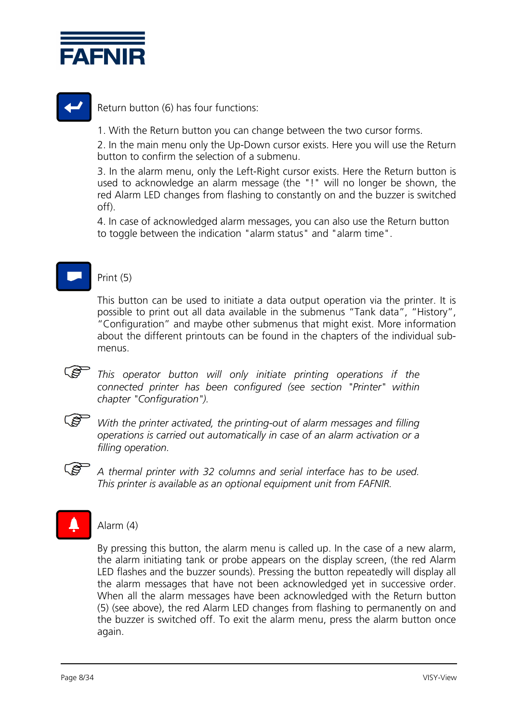



Return button (6) has four functions:

1. With the Return button you can change between the two cursor forms.

2. In the main menu only the Up-Down cursor exists. Here you will use the Return button to confirm the selection of a submenu.

3. In the alarm menu, only the Left-Right cursor exists. Here the Return button is used to acknowledge an alarm message (the "!" will no longer be shown, the red Alarm LED changes from flashing to constantly on and the buzzer is switched off).

4. In case of acknowledged alarm messages, you can also use the Return button to toggle between the indication "alarm status" and "alarm time".



### Print (5)

This button can be used to initiate a data output operation via the printer. It is possible to print out all data available in the submenus "Tank data", "History", "Configuration" and maybe other submenus that might exist. More information about the different printouts can be found in the chapters of the individual submenus.



*This operator button will only initiate printing operations if the connected printer has been configured (see section "Printer" within chapter "Configuration").* 



*With the printer activated, the printing-out of alarm messages and filling operations is carried out automatically in case of an alarm activation or a filling operation.* 



*A thermal printer with 32 columns and serial interface has to be used. This printer is available as an optional equipment unit from FAFNIR.* 



### Alarm (4)

By pressing this button, the alarm menu is called up. In the case of a new alarm, the alarm initiating tank or probe appears on the display screen, (the red Alarm LED flashes and the buzzer sounds). Pressing the button repeatedly will display all the alarm messages that have not been acknowledged yet in successive order. When all the alarm messages have been acknowledged with the Return button (5) (see above), the red Alarm LED changes from flashing to permanently on and the buzzer is switched off. To exit the alarm menu, press the alarm button once again.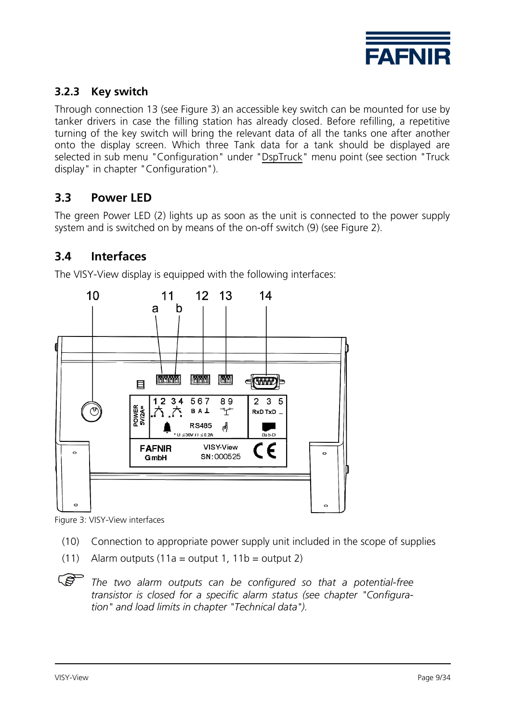

### **3.2.3 Key switch**

Through connection 13 (see [Figure 3](#page-8-2)) an accessible key switch can be mounted for use by tanker drivers in case the filling station has already closed. Before refilling, a repetitive turning of the key switch will bring the relevant data of all the tanks one after another onto the display screen. Which three Tank data for a tank should be displayed are selected in sub menu "Configuration" under "DspTruck" menu point (see section "Truck display" in chapter "Configuration").

### <span id="page-8-0"></span>**3.3 Power LED**

The green Power LED (2) lights up as soon as the unit is connected to the power supply system and is switched on by means of the on-off switch (9) (see [Figure 2](#page-6-1)).

### <span id="page-8-1"></span>**3.4 Interfaces**

The VISY-View display is equipped with the following interfaces:



<span id="page-8-2"></span>

- (10) Connection to appropriate power supply unit included in the scope of supplies
- (11) Alarm outputs  $(11a = output 1, 11b = output 2)$

**SP** *The two alarm outputs can be configured so that a potential-free transistor is closed for a specific alarm status (see chapter "Configuration" and load limits in chapter "Technical data").*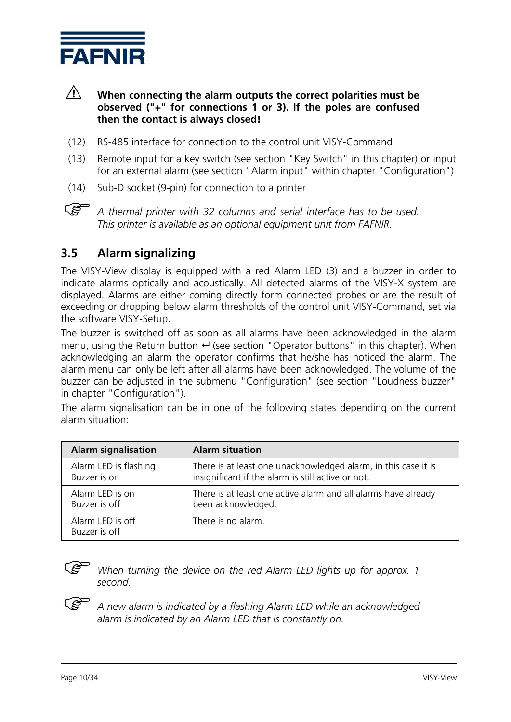

#### $\bigwedge$ **When connecting the alarm outputs the correct polarities must be observed ("+" for connections 1 or 3). If the poles are confused then the contact is always closed!**

- (12) RS-485 interface for connection to the control unit VISY-Command
- (13) Remote input for a key switch (see section "Key Switch" in this chapter) or input for an external alarm (see section "Alarm input" within chapter "Configuration")
- (14) Sub-D socket (9-pin) for connection to a printer

 $\mathbb{Q}$ *A thermal printer with 32 columns and serial interface has to be used. This printer is available as an optional equipment unit from FAFNIR.* 

### <span id="page-9-0"></span>**3.5 Alarm signalizing**

The VISY-View display is equipped with a red Alarm LED (3) and a buzzer in order to indicate alarms optically and acoustically. All detected alarms of the VISY-X system are displayed. Alarms are either coming directly form connected probes or are the result of exceeding or dropping below alarm thresholds of the control unit VISY-Command, set via the software VISY-Setup.

The buzzer is switched off as soon as all alarms have been acknowledged in the alarm menu, using the Return button  $\leftarrow$  (see section "Operator buttons" in this chapter). When acknowledging an alarm the operator confirms that he/she has noticed the alarm. The alarm menu can only be left after all alarms have been acknowledged. The volume of the buzzer can be adjusted in the submenu "Configuration" (see section "Loudness buzzer" in chapter "Configuration").

The alarm signalisation can be in one of the following states depending on the current alarm situation:

| <b>Alarm signalisation</b>        | <b>Alarm situation</b>                                         |
|-----------------------------------|----------------------------------------------------------------|
| Alarm LED is flashing             | There is at least one unacknowledged alarm, in this case it is |
| Buzzer is on                      | insignificant if the alarm is still active or not.             |
| Alarm LED is on                   | There is at least one active alarm and all alarms have already |
| Buzzer is off                     | been acknowledged.                                             |
| Alarm LED is off<br>Buzzer is off | There is no alarm.                                             |



*When turning the device on the red Alarm LED lights up for approx. 1 second.* 

(8)

*A new alarm is indicated by a flashing Alarm LED while an acknowledged alarm is indicated by an Alarm LED that is constantly on.*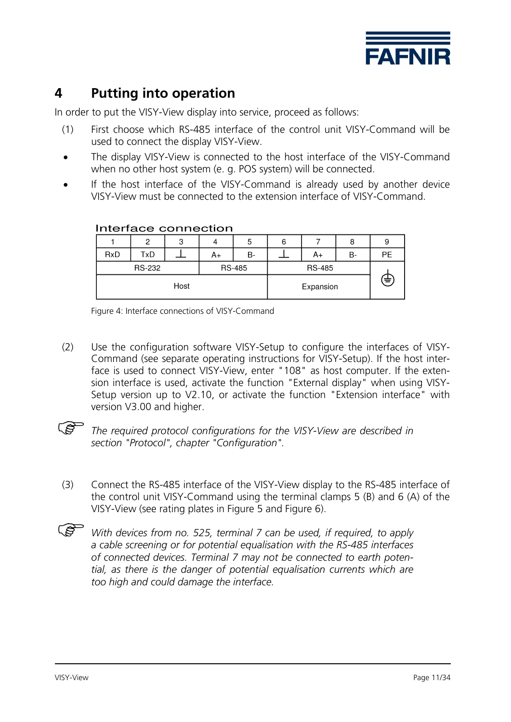

# <span id="page-10-0"></span>**4 Putting into operation**

In order to put the VISY-View display into service, proceed as follows:

- (1) First choose which RS-485 interface of the control unit VISY-Command will be used to connect the display VISY-View.
- The display VISY-View is connected to the host interface of the VISY-Command when no other host system (e. g. POS system) will be connected.
- If the host interface of the VISY-Command is already used by another device VISY-View must be connected to the extension interface of VISY-Command.

|            | 2             | 3 |    | 5             | 6 |               |    |    |
|------------|---------------|---|----|---------------|---|---------------|----|----|
| <b>RxD</b> | TxD           |   | A+ | В-            |   | A+            | в- | РE |
|            | <b>RS-232</b> |   |    | <b>RS-485</b> |   | <b>RS-485</b> |    |    |
| Host       |               |   |    |               |   | Expansion     |    |    |

### Interface connection

Figure 4: Interface connections of VISY-Command

<span id="page-10-1"></span>(2) Use the configuration software VISY-Setup to configure the interfaces of VISY-Command (see separate operating instructions for VISY-Setup). If the host interface is used to connect VISY-View, enter "108" as host computer. If the extension interface is used, activate the function "External display" when using VISY-Setup version up to V2.10, or activate the function "Extension interface" with version V3.00 and higher.



*The required protocol configurations for the VISY-View are described in section "Protocol", chapter "Configuration".* 

(3) Connect the RS-485 interface of the VISY-View display to the RS-485 interface of the control unit VISY-Command using the terminal clamps 5 (B) and 6 (A) of the VISY-View (see rating plates in [Figure 5](#page-11-0) and [Figure 6\)](#page-11-1).

(S *With devices from no. 525, terminal 7 can be used, if required, to apply a cable screening or for potential equalisation with the RS-485 interfaces of connected devices. Terminal 7 may not be connected to earth potential, as there is the danger of potential equalisation currents which are too high and could damage the interface.*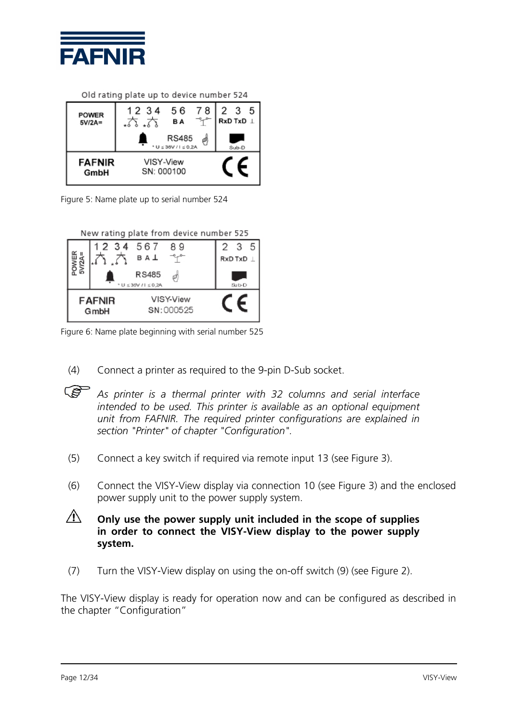

|                          | Old rating plate up to device number 524                                                    |  |  |  |  |  |
|--------------------------|---------------------------------------------------------------------------------------------|--|--|--|--|--|
| <b>POWER</b><br>$5V/2A=$ | 12 34<br>78<br>56<br>2 3 5<br>RxD TxD L<br>B A<br>RS485<br>$10 \le 36V/1 \le 0.2A$<br>Sub-D |  |  |  |  |  |
| <b>FAFNIR</b><br>GmbH    | VISY-View<br>SN: 000100                                                                     |  |  |  |  |  |

<span id="page-11-0"></span>Figure 5: Name plate up to serial number 524



<span id="page-11-1"></span>Figure 6: Name plate beginning with serial number 525

(4) Connect a printer as required to the 9-pin D-Sub socket.



*As printer is a thermal printer with 32 columns and serial interface intended to be used. This printer is available as an optional equipment unit from FAFNIR. The required printer configurations are explained in section "Printer" of chapter "Configuration".* 

- (5) Connect a key switch if required via remote input 13 (see [Figure 3\)](#page-8-2).
- (6) Connect the VISY-View display via connection 10 (see [Figure 3](#page-8-2)) and the enclosed power supply unit to the power supply system.

#### $\sqrt{N}$ **Only use the power supply unit included in the scope of supplies in order to connect the VISY-View display to the power supply system.**

(7) Turn the VISY-View display on using the on-off switch (9) (see [Figure 2](#page-6-1)).

The VISY-View display is ready for operation now and can be configured as described in the chapter "Configuration"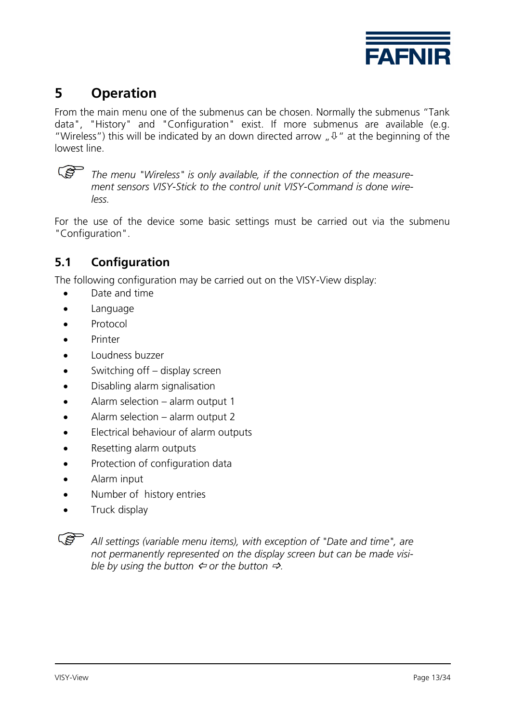

# <span id="page-12-0"></span>**5 Operation**

From the main menu one of the submenus can be chosen. Normally the submenus "Tank data", "History" and "Configuration" exist. If more submenus are available (e.g. "Wireless") this will be indicated by an down directed arrow  $\mu$ ,  $\theta$  " at the beginning of the lowest line.



*The menu "Wireless" is only available, if the connection of the measurement sensors VISY-Stick to the control unit VISY-Command is done wireless.* 

For the use of the device some basic settings must be carried out via the submenu "Configuration".

### <span id="page-12-1"></span>**5.1 Configuration**

The following configuration may be carried out on the VISY-View display:

- Date and time
- Language
- Protocol
- Printer
- Loudness buzzer
- $\bullet$  Switching off display screen
- Disabling alarm signalisation
- Alarm selection alarm output 1
- Alarm selection alarm output 2
- **Electrical behaviour of alarm outputs**
- Resetting alarm outputs
- Protection of configuration data
- Alarm input
- Number of history entries
- Truck display



*All settings (variable menu items), with exception of "Date and time", are not permanently represented on the display screen but can be made visible by using the button*  $\Leftrightarrow$  *or the button*  $\Rightarrow$ *.*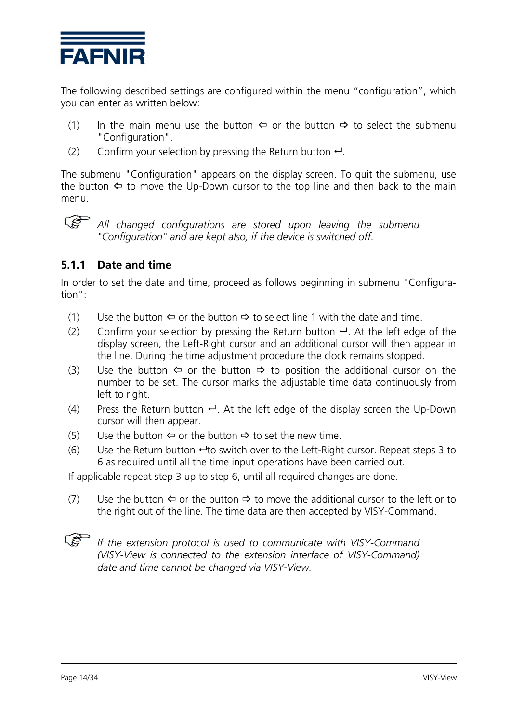

The following described settings are configured within the menu "configuration", which you can enter as written below:

- (1) In the main menu use the button  $\Leftrightarrow$  or the button  $\Leftrightarrow$  to select the submenu "Configuration".
- (2) Confirm your selection by pressing the Return button  $\leftarrow$ .

The submenu "Configuration" appears on the display screen. To quit the submenu, use the button  $\Leftarrow$  to move the Up-Down cursor to the top line and then back to the main menu.



*All changed configurations are stored upon leaving the submenu "Configuration" and are kept also, if the device is switched off.* 

### **5.1.1 Date and time**

In order to set the date and time, proceed as follows beginning in submenu "Configuration":

- (1) Use the button  $\Leftrightarrow$  or the button  $\Leftrightarrow$  to select line 1 with the date and time.
- (2) Confirm your selection by pressing the Return button  $\leftarrow$ . At the left edge of the display screen, the Left-Right cursor and an additional cursor will then appear in the line. During the time adjustment procedure the clock remains stopped.
- (3) Use the button  $\Leftrightarrow$  or the button  $\Leftrightarrow$  to position the additional cursor on the number to be set. The cursor marks the adjustable time data continuously from left to right.
- (4) Press the Return button  $\leftrightarrow$ . At the left edge of the display screen the Up-Down cursor will then appear.
- (5) Use the button  $\Leftrightarrow$  or the button  $\Leftrightarrow$  to set the new time.
- (6) Use the Return button  $\leftrightarrow$  to switch over to the Left-Right cursor. Repeat steps 3 to 6 as required until all the time input operations have been carried out.

If applicable repeat step 3 up to step 6, until all required changes are done.

- (7) Use the button  $\Leftrightarrow$  or the button  $\Leftrightarrow$  to move the additional cursor to the left or to the right out of the line. The time data are then accepted by VISY-Command.
- **REF** *If the extension protocol is used to communicate with VISY-Command (VISY-View is connected to the extension interface of VISY-Command) date and time cannot be changed via VISY-View.*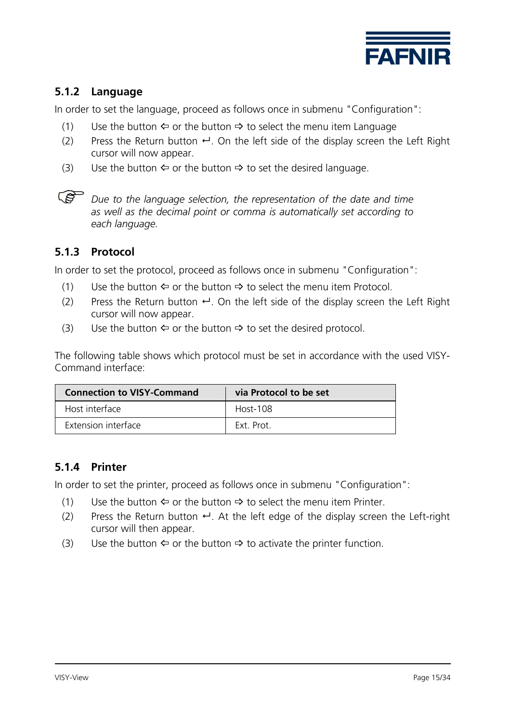

### **5.1.2 Language**

In order to set the language, proceed as follows once in submenu "Configuration":

- (1) Use the button  $\Leftrightarrow$  or the button  $\Leftrightarrow$  to select the menu item Language
- (2) Press the Return button  $\leftrightarrow$ . On the left side of the display screen the Left Right cursor will now appear.
- (3) Use the button  $\Leftrightarrow$  or the button  $\Leftrightarrow$  to set the desired language.



*Due to the language selection, the representation of the date and time as well as the decimal point or comma is automatically set according to each language.* 

### **5.1.3 Protocol**

In order to set the protocol, proceed as follows once in submenu "Configuration":

- (1) Use the button  $\Leftrightarrow$  or the button  $\Leftrightarrow$  to select the menu item Protocol.
- (2) Press the Return button  $\leftarrow$ . On the left side of the display screen the Left Right cursor will now appear.
- (3) Use the button  $\Leftrightarrow$  or the button  $\Leftrightarrow$  to set the desired protocol.

The following table shows which protocol must be set in accordance with the used VISY-Command interface:

| <b>Connection to VISY-Command</b> | via Protocol to be set |
|-----------------------------------|------------------------|
| Host interface                    | Host-108               |
| Extension interface               | Ext. Prot.             |

### **5.1.4 Printer**

In order to set the printer, proceed as follows once in submenu "Configuration":

- (1) Use the button  $\Leftrightarrow$  or the button  $\Leftrightarrow$  to select the menu item Printer.
- (2) Press the Return button  $\leftrightarrow$ . At the left edge of the display screen the Left-right cursor will then appear.
- (3) Use the button  $\Leftrightarrow$  or the button  $\Leftrightarrow$  to activate the printer function.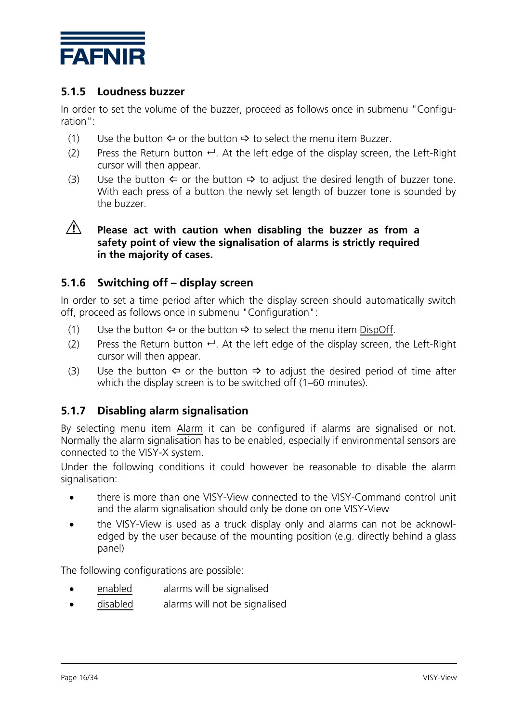

### **5.1.5 Loudness buzzer**

In order to set the volume of the buzzer, proceed as follows once in submenu "Configuration":

- (1) Use the button  $\Leftrightarrow$  or the button  $\Leftrightarrow$  to select the menu item Buzzer.
- (2) Press the Return button  $\leftrightarrow$ . At the left edge of the display screen, the Left-Right cursor will then appear.
- (3) Use the button  $\Leftrightarrow$  or the button  $\Leftrightarrow$  to adjust the desired length of buzzer tone. With each press of a button the newly set length of buzzer tone is sounded by the buzzer.



### **Please act with caution when disabling the buzzer as from a safety point of view the signalisation of alarms is strictly required in the majority of cases.**

### **5.1.6 Switching off – display screen**

In order to set a time period after which the display screen should automatically switch off, proceed as follows once in submenu "Configuration":

- (1) Use the button  $\Leftrightarrow$  or the button  $\Leftrightarrow$  to select the menu item DispOff.
- (2) Press the Return button  $\leftrightarrow$ . At the left edge of the display screen, the Left-Right cursor will then appear.
- (3) Use the button  $\Leftrightarrow$  or the button  $\Leftrightarrow$  to adjust the desired period of time after which the display screen is to be switched off (1–60 minutes).

### **5.1.7 Disabling alarm signalisation**

By selecting menu item Alarm it can be configured if alarms are signalised or not. Normally the alarm signalisation has to be enabled, especially if environmental sensors are connected to the VISY-X system.

Under the following conditions it could however be reasonable to disable the alarm signalisation:

- there is more than one VISY-View connected to the VISY-Command control unit and the alarm signalisation should only be done on one VISY-View
- the VISY-View is used as a truck display only and alarms can not be acknowledged by the user because of the mounting position (e.g. directly behind a glass panel)

The following configurations are possible:

- enabled alarms will be signalised
- disabled alarms will not be signalised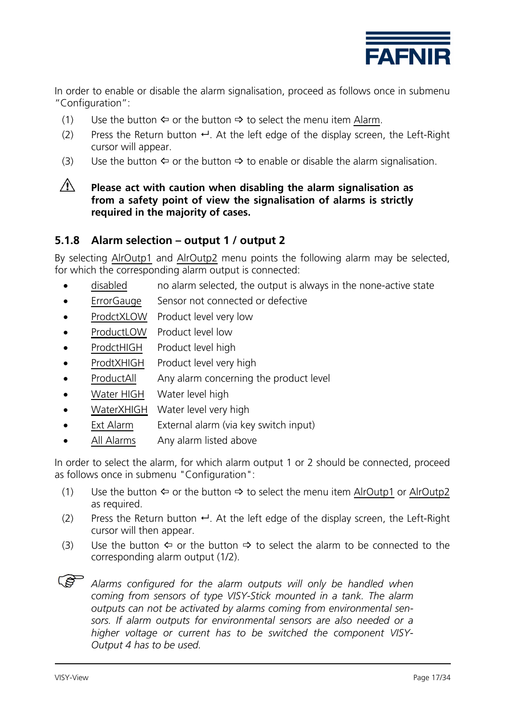

In order to enable or disable the alarm signalisation, proceed as follows once in submenu "Configuration":

- (1) Use the button  $\Leftrightarrow$  or the button  $\Leftrightarrow$  to select the menu item Alarm.
- (2) Press the Return button  $\leftrightarrow$ . At the left edge of the display screen, the Left-Right cursor will appear.
- (3) Use the button  $\Leftrightarrow$  or the button  $\Leftrightarrow$  to enable or disable the alarm signalisation.

#### $\bigwedge$ **Please act with caution when disabling the alarm signalisation as from a safety point of view the signalisation of alarms is strictly required in the majority of cases.**

### **5.1.8 Alarm selection – output 1 / output 2**

By selecting AlrOutp1 and AlrOutp2 menu points the following alarm may be selected, for which the corresponding alarm output is connected:

- disabled no alarm selected, the output is always in the none-active state
- **•** ErrorGauge Sensor not connected or defective
- ProdctXLOW Product level very low
- ProductLOW Product level low
- ProdctHIGH Product level high
- ProdtXHIGH Product level very high
- ProductAll Any alarm concerning the product level
- Water HIGH Water level high
- WaterXHIGH Water level very high
- Ext Alarm External alarm (via key switch input)
- All Alarms Any alarm listed above

In order to select the alarm, for which alarm output 1 or 2 should be connected, proceed as follows once in submenu "Configuration":

- (1) Use the button  $\Leftrightarrow$  or the button  $\Leftrightarrow$  to select the menu item AlrOutp1 or AlrOutp2 as required.
- (2) Press the Return button  $\leftrightarrow$ . At the left edge of the display screen, the Left-Right cursor will then appear.
- (3) Use the button  $\Leftrightarrow$  or the button  $\Leftrightarrow$  to select the alarm to be connected to the corresponding alarm output (1/2).

**PER** *Alarms configured for the alarm outputs will only be handled when coming from sensors of type VISY-Stick mounted in a tank. The alarm outputs can not be activated by alarms coming from environmental sensors. If alarm outputs for environmental sensors are also needed or a higher voltage or current has to be switched the component VISY-Output 4 has to be used.*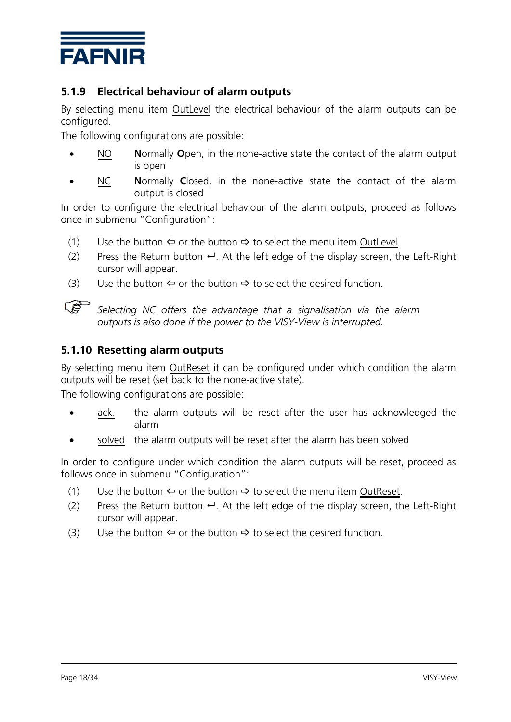

### **5.1.9 Electrical behaviour of alarm outputs**

By selecting menu item OutLevel the electrical behaviour of the alarm outputs can be configured.

The following configurations are possible:

- NO **N**ormally **O**pen, in the none-active state the contact of the alarm output is open
- NC **N**ormally **C**losed, in the none-active state the contact of the alarm output is closed

In order to configure the electrical behaviour of the alarm outputs, proceed as follows once in submenu "Configuration":

- (1) Use the button  $\Leftrightarrow$  or the button  $\Leftrightarrow$  to select the menu item OutLevel.
- (2) Press the Return button  $\leftrightarrow$ . At the left edge of the display screen, the Left-Right cursor will appear.
- (3) Use the button  $\Leftrightarrow$  or the button  $\Leftrightarrow$  to select the desired function.



*Selecting NC offers the advantage that a signalisation via the alarm outputs is also done if the power to the VISY-View is interrupted.* 

### **5.1.10 Resetting alarm outputs**

By selecting menu item OutReset it can be configured under which condition the alarm outputs will be reset (set back to the none-active state).

The following configurations are possible:

- ack. the alarm outputs will be reset after the user has acknowledged the alarm
- solved the alarm outputs will be reset after the alarm has been solved

In order to configure under which condition the alarm outputs will be reset, proceed as follows once in submenu "Configuration":

- (1) Use the button  $\Leftrightarrow$  or the button  $\Leftrightarrow$  to select the menu item OutReset.
- (2) Press the Return button  $\leftrightarrow$ . At the left edge of the display screen, the Left-Right cursor will appear.
- (3) Use the button  $\Leftrightarrow$  or the button  $\Leftrightarrow$  to select the desired function.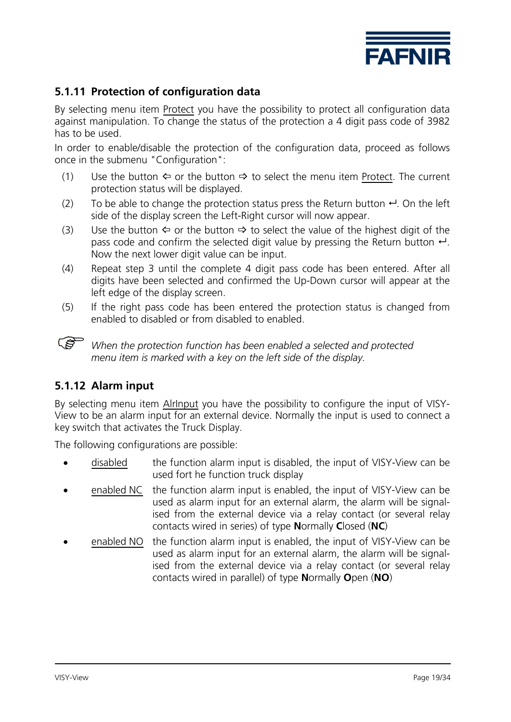

### **5.1.11 Protection of configuration data**

By selecting menu item Protect you have the possibility to protect all configuration data against manipulation. To change the status of the protection a 4 digit pass code of 3982 has to be used.

In order to enable/disable the protection of the configuration data, proceed as follows once in the submenu "Configuration":

- (1) Use the button  $\Leftrightarrow$  or the button  $\Leftrightarrow$  to select the menu item Protect. The current protection status will be displayed.
- (2) To be able to change the protection status press the Return button  $\leftarrow$ . On the left side of the display screen the Left-Right cursor will now appear.
- (3) Use the button  $\Leftrightarrow$  or the button  $\Leftrightarrow$  to select the value of the highest digit of the pass code and confirm the selected digit value by pressing the Return button  $\leftarrow$ . Now the next lower digit value can be input.
- (4) Repeat step 3 until the complete 4 digit pass code has been entered. After all digits have been selected and confirmed the Up-Down cursor will appear at the left edge of the display screen.
- (5) If the right pass code has been entered the protection status is changed from enabled to disabled or from disabled to enabled.



*When the protection function has been enabled a selected and protected menu item is marked with a key on the left side of the display.* 

### **5.1.12 Alarm input**

By selecting menu item AlrInput you have the possibility to configure the input of VISY-View to be an alarm input for an external device. Normally the input is used to connect a key switch that activates the Truck Display.

The following configurations are possible:

- disabled the function alarm input is disabled, the input of VISY-View can be used fort he function truck display
- enabled NC the function alarm input is enabled, the input of VISY-View can be used as alarm input for an external alarm, the alarm will be signalised from the external device via a relay contact (or several relay contacts wired in series) of type **N**ormally **C**losed (**NC**)
- enabled NO the function alarm input is enabled, the input of VISY-View can be used as alarm input for an external alarm, the alarm will be signalised from the external device via a relay contact (or several relay contacts wired in parallel) of type **N**ormally **O**pen (**NO**)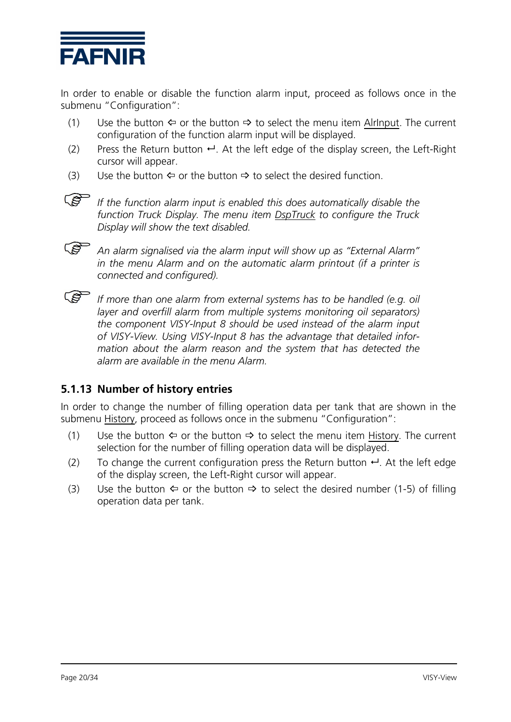

In order to enable or disable the function alarm input, proceed as follows once in the submenu "Configuration":

- (1) Use the button  $\Leftrightarrow$  or the button  $\Leftrightarrow$  to select the menu item AlrInput. The current configuration of the function alarm input will be displayed.
- (2) Press the Return button  $\leftrightarrow$ . At the left edge of the display screen, the Left-Right cursor will appear.
- (3) Use the button  $\Leftrightarrow$  or the button  $\Leftrightarrow$  to select the desired function.



*If the function alarm input is enabled this does automatically disable the function Truck Display. The menu item DspTruck to configure the Truck Display will show the text disabled.* 

**RAL** *An alarm signalised via the alarm input will show up as "External Alarm" in the menu Alarm and on the automatic alarm printout (if a printer is connected and configured).* 

**REP** *If more than one alarm from external systems has to be handled (e.g. oil layer and overfill alarm from multiple systems monitoring oil separators) the component VISY-Input 8 should be used instead of the alarm input of VISY-View. Using VISY-Input 8 has the advantage that detailed information about the alarm reason and the system that has detected the alarm are available in the menu Alarm.* 

### **5.1.13 Number of history entries**

In order to change the number of filling operation data per tank that are shown in the submenu History, proceed as follows once in the submenu "Configuration":

- (1) Use the button  $\Leftrightarrow$  or the button  $\Leftrightarrow$  to select the menu item History. The current selection for the number of filling operation data will be displayed.
- (2) To change the current configuration press the Return button  $\leftarrow$ . At the left edge of the display screen, the Left-Right cursor will appear.
- (3) Use the button  $\Leftrightarrow$  or the button  $\Leftrightarrow$  to select the desired number (1-5) of filling operation data per tank.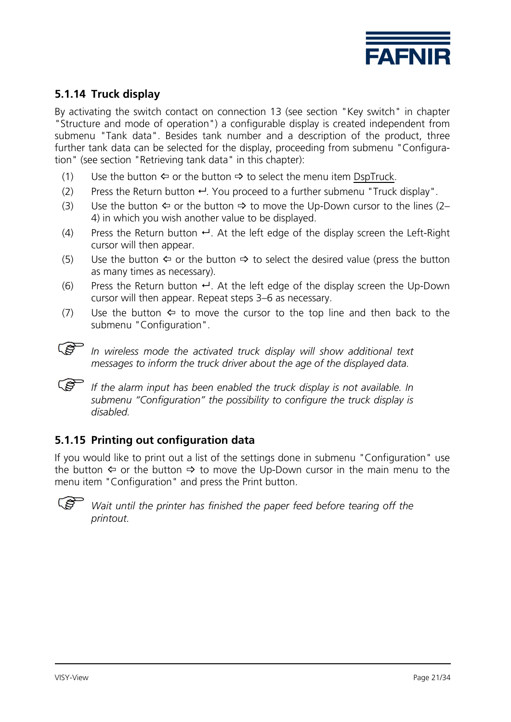

### **5.1.14 Truck display**

By activating the switch contact on connection 13 (see section "Key switch" in chapter "Structure and mode of operation") a configurable display is created independent from submenu "Tank data". Besides tank number and a description of the product, three further tank data can be selected for the display, proceeding from submenu "Configuration" (see section "Retrieving tank data" in this chapter):

- (1) Use the button  $\Leftrightarrow$  or the button  $\Leftrightarrow$  to select the menu item DspTruck.
- (2) Press the Return button  $\leftarrow$ . You proceed to a further submenu "Truck display".
- (3) Use the button  $\Leftrightarrow$  or the button  $\Leftrightarrow$  to move the Up-Down cursor to the lines (2– 4) in which you wish another value to be displayed.
- (4) Press the Return button  $\leftrightarrow$ . At the left edge of the display screen the Left-Right cursor will then appear.
- (5) Use the button  $\Leftrightarrow$  or the button  $\Leftrightarrow$  to select the desired value (press the button as many times as necessary).
- (6) Press the Return button  $\leftrightarrow$ . At the left edge of the display screen the Up-Down cursor will then appear. Repeat steps 3–6 as necessary.
- (7) Use the button  $\Leftrightarrow$  to move the cursor to the top line and then back to the submenu "Configuration".



*In wireless mode the activated truck display will show additional text messages to inform the truck driver about the age of the displayed data.* 



*If the alarm input has been enabled the truck display is not available. In submenu "Configuration" the possibility to configure the truck display is disabled.* 

### **5.1.15 Printing out configuration data**

If you would like to print out a list of the settings done in submenu "Configuration" use the button  $\Leftrightarrow$  or the button  $\Leftrightarrow$  to move the Up-Down cursor in the main menu to the menu item "Configuration" and press the Print button.



*Wait until the printer has finished the paper feed before tearing off the printout.*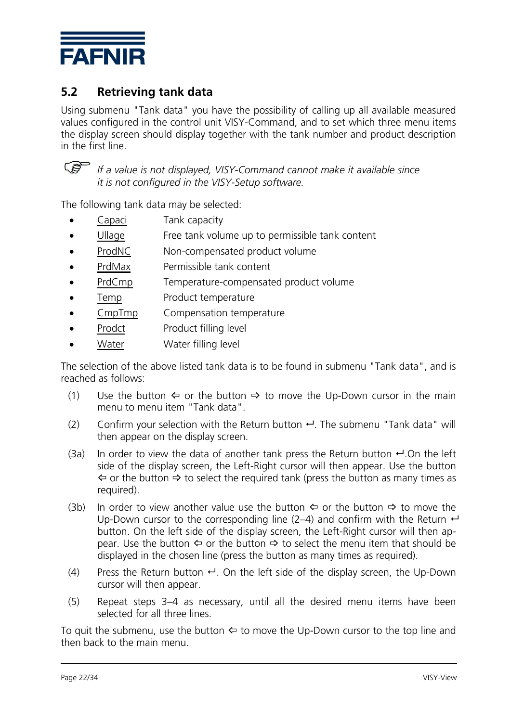

### <span id="page-21-0"></span>**5.2 Retrieving tank data**

Using submenu "Tank data" you have the possibility of calling up all available measured values configured in the control unit VISY-Command, and to set which three menu items the display screen should display together with the tank number and product description in the first line.



*If a value is not displayed, VISY-Command cannot make it available since it is not configured in the VISY-Setup software.* 

The following tank data may be selected:

- Capaci Tank capacity
- Ullage Free tank volume up to permissible tank content
- ProdNC Non-compensated product volume
- PrdMax Permissible tank content
- PrdCmp Temperature-compensated product volume
- Temp Product temperature
- CmpTmp Compensation temperature
- Prodct Product filling level
- Water Water filling level

The selection of the above listed tank data is to be found in submenu "Tank data", and is reached as follows:

- (1) Use the button  $\Leftrightarrow$  or the button  $\Leftrightarrow$  to move the Up-Down cursor in the main menu to menu item "Tank data".
- (2) Confirm your selection with the Return button  $\leftarrow$ . The submenu "Tank data" will then appear on the display screen.
- (3a) In order to view the data of another tank press the Return button  $\leftarrow$  On the left side of the display screen, the Left-Right cursor will then appear. Use the button  $\Leftarrow$  or the button  $\Rightarrow$  to select the required tank (press the button as many times as required).
- (3b) In order to view another value use the button  $\Leftrightarrow$  or the button  $\Leftrightarrow$  to move the Up-Down cursor to the corresponding line (2–4) and confirm with the Return  $\leftrightarrow$ button. On the left side of the display screen, the Left-Right cursor will then appear. Use the button  $\Leftrightarrow$  or the button  $\Leftrightarrow$  to select the menu item that should be displayed in the chosen line (press the button as many times as required).
- (4) Press the Return button  $\leftrightarrow$ . On the left side of the display screen, the Up-Down cursor will then appear.
- (5) Repeat steps 3–4 as necessary, until all the desired menu items have been selected for all three lines.

To quit the submenu, use the button  $\Leftrightarrow$  to move the Up-Down cursor to the top line and then back to the main menu.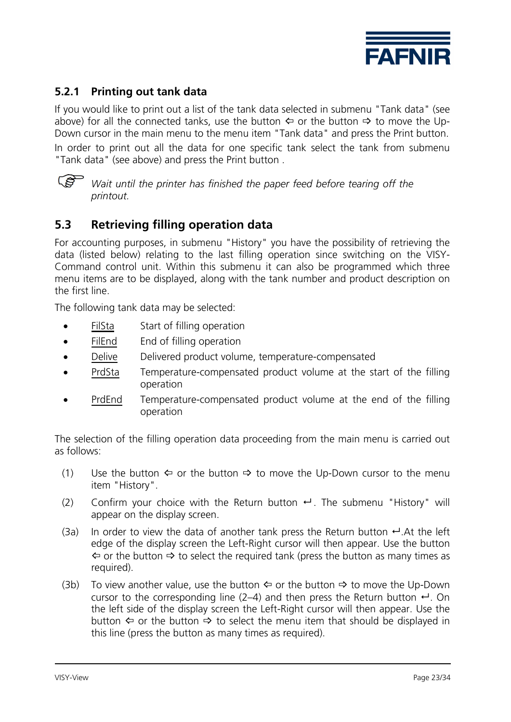

### **5.2.1 Printing out tank data**

If you would like to print out a list of the tank data selected in submenu "Tank data" (see above) for all the connected tanks, use the button  $\Leftrightarrow$  or the button  $\Leftrightarrow$  to move the Up-Down cursor in the main menu to the menu item "Tank data" and press the Print button. In order to print out all the data for one specific tank select the tank from submenu "Tank data" (see above) and press the Print button .



*Wait until the printer has finished the paper feed before tearing off the printout.* 

### <span id="page-22-0"></span>**5.3 Retrieving filling operation data**

For accounting purposes, in submenu "History" you have the possibility of retrieving the data (listed below) relating to the last filling operation since switching on the VISY-Command control unit. Within this submenu it can also be programmed which three menu items are to be displayed, along with the tank number and product description on the first line.

The following tank data may be selected:

- FilSta Start of filling operation
- FilEnd End of filling operation
- Delive Delivered product volume, temperature-compensated
- PrdSta Temperature-compensated product volume at the start of the filling operation
- PrdEnd Temperature-compensated product volume at the end of the filling operation

The selection of the filling operation data proceeding from the main menu is carried out as follows:

- (1) Use the button  $\Leftrightarrow$  or the button  $\Leftrightarrow$  to move the Up-Down cursor to the menu item "History".
- (2) Confirm your choice with the Return button  $\leftarrow$ . The submenu "History" will appear on the display screen.
- (3a) In order to view the data of another tank press the Return button  $\leftarrow$  At the left edge of the display screen the Left-Right cursor will then appear. Use the button  $\Leftarrow$  or the button  $\Rightarrow$  to select the required tank (press the button as many times as required).
- (3b) To view another value, use the button  $\Leftrightarrow$  or the button  $\Leftrightarrow$  to move the Up-Down cursor to the corresponding line (2–4) and then press the Return button  $\leftrightarrow$ . On the left side of the display screen the Left-Right cursor will then appear. Use the button  $\Leftrightarrow$  or the button  $\Leftrightarrow$  to select the menu item that should be displayed in this line (press the button as many times as required).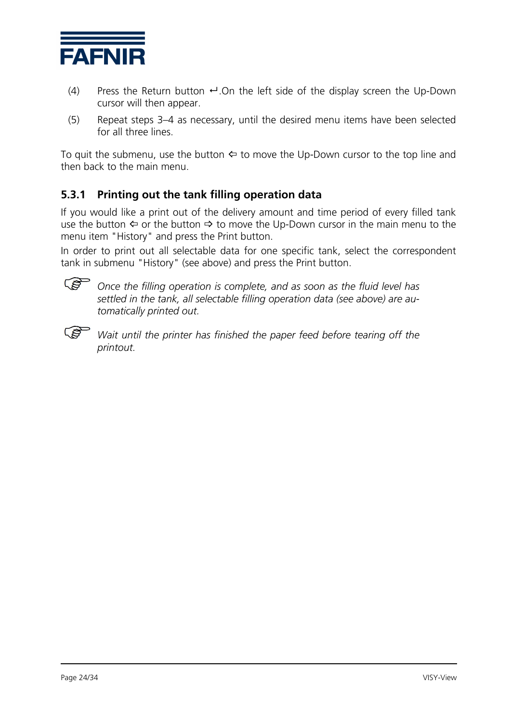

- (4) Press the Return button  $\leftarrow$  On the left side of the display screen the Up-Down cursor will then appear.
- (5) Repeat steps 3–4 as necessary, until the desired menu items have been selected for all three lines.

To quit the submenu, use the button  $\Leftrightarrow$  to move the Up-Down cursor to the top line and then back to the main menu.

### **5.3.1 Printing out the tank filling operation data**

If you would like a print out of the delivery amount and time period of every filled tank use the button  $\Leftrightarrow$  or the button  $\Leftrightarrow$  to move the Up-Down cursor in the main menu to the menu item "History" and press the Print button.

In order to print out all selectable data for one specific tank, select the correspondent tank in submenu "History" (see above) and press the Print button.



*Once the filling operation is complete, and as soon as the fluid level has settled in the tank, all selectable filling operation data (see above) are automatically printed out.* 



*Wait until the printer has finished the paper feed before tearing off the printout.*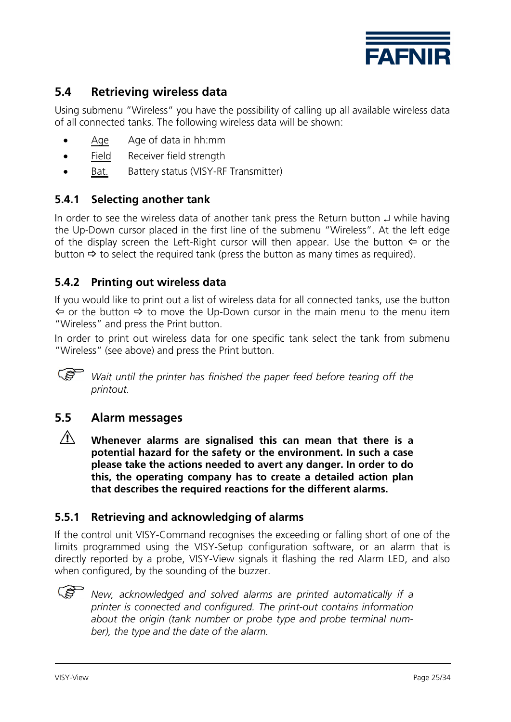

### <span id="page-24-0"></span>**5.4 Retrieving wireless data**

Using submenu "Wireless" you have the possibility of calling up all available wireless data of all connected tanks. The following wireless data will be shown:

- Age Age of data in hh:mm
- Field Receiver field strength
- Bat. Battery status (VISY-RF Transmitter)

### **5.4.1 Selecting another tank**

In order to see the wireless data of another tank press the Return button  $\perp$  while having the Up-Down cursor placed in the first line of the submenu "Wireless". At the left edge of the display screen the Left-Right cursor will then appear. Use the button  $\Leftrightarrow$  or the button  $\Rightarrow$  to select the required tank (press the button as many times as required).

### **5.4.2 Printing out wireless data**

If you would like to print out a list of wireless data for all connected tanks, use the button  $\Leftarrow$  or the button  $\Rightarrow$  to move the Up-Down cursor in the main menu to the menu item "Wireless" and press the Print button.

In order to print out wireless data for one specific tank select the tank from submenu "Wireless" (see above) and press the Print button.

**18** *Wait until the printer has finished the paper feed before tearing off the printout.* 

### <span id="page-24-1"></span>**5.5 Alarm messages**

 $\bigwedge$ **Whenever alarms are signalised this can mean that there is a potential hazard for the safety or the environment. In such a case please take the actions needed to avert any danger. In order to do this, the operating company has to create a detailed action plan that describes the required reactions for the different alarms.** 

### **5.5.1 Retrieving and acknowledging of alarms**

If the control unit VISY-Command recognises the exceeding or falling short of one of the limits programmed using the VISY-Setup configuration software, or an alarm that is directly reported by a probe, VISY-View signals it flashing the red Alarm LED, and also when configured, by the sounding of the buzzer.



*New, acknowledged and solved alarms are printed automatically if a printer is connected and configured. The print-out contains information about the origin (tank number or probe type and probe terminal number), the type and the date of the alarm.*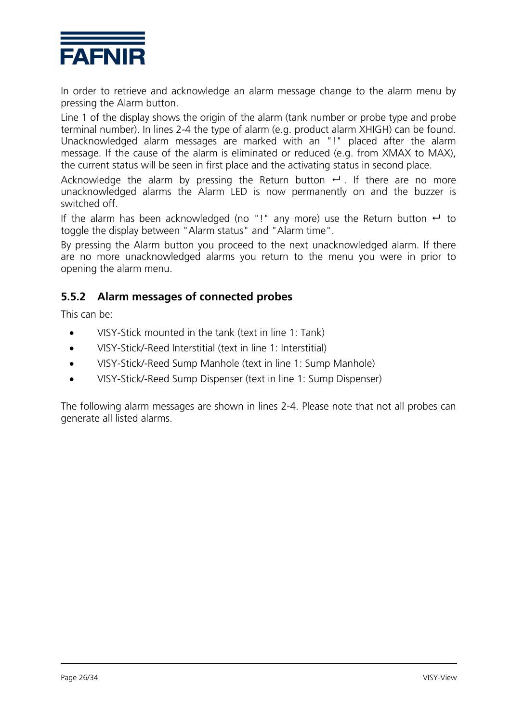

In order to retrieve and acknowledge an alarm message change to the alarm menu by pressing the Alarm button.

Line 1 of the display shows the origin of the alarm (tank number or probe type and probe terminal number). In lines 2-4 the type of alarm (e.g. product alarm XHIGH) can be found. Unacknowledged alarm messages are marked with an "!" placed after the alarm message. If the cause of the alarm is eliminated or reduced (e.g. from XMAX to MAX), the current status will be seen in first place and the activating status in second place.

Acknowledge the alarm by pressing the Return button  $\leftrightarrow$ . If there are no more unacknowledged alarms the Alarm LED is now permanently on and the buzzer is switched off.

If the alarm has been acknowledged (no "!" any more) use the Return button  $\leftrightarrow$  to toggle the display between "Alarm status" and "Alarm time".

By pressing the Alarm button you proceed to the next unacknowledged alarm. If there are no more unacknowledged alarms you return to the menu you were in prior to opening the alarm menu.

### **5.5.2 Alarm messages of connected probes**

This can be:

- VISY-Stick mounted in the tank (text in line 1: Tank)
- VISY-Stick/-Reed Interstitial (text in line 1: Interstitial)
- VISY-Stick/-Reed Sump Manhole (text in line 1: Sump Manhole)
- VISY-Stick/-Reed Sump Dispenser (text in line 1: Sump Dispenser)

The following alarm messages are shown in lines 2-4. Please note that not all probes can generate all listed alarms.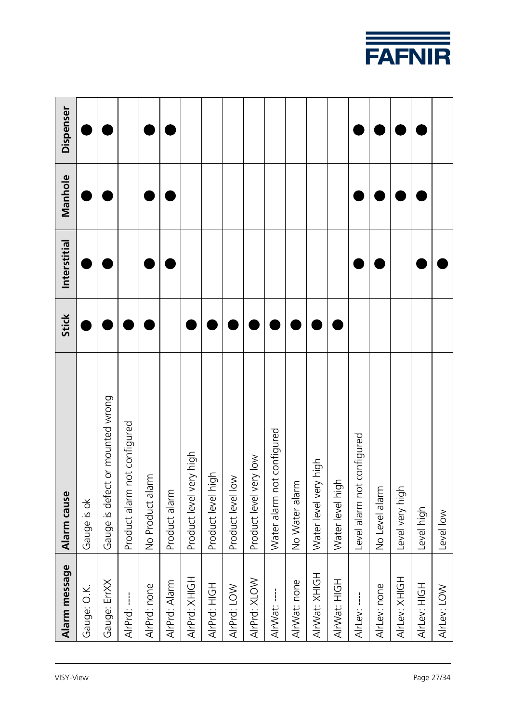

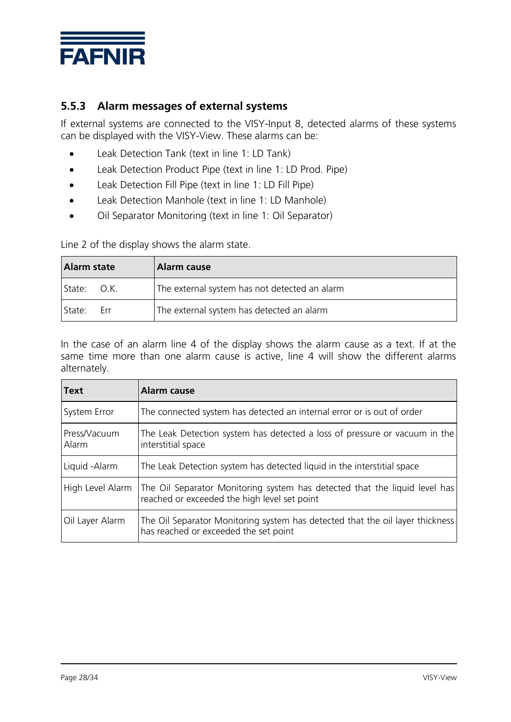

### **5.5.3 Alarm messages of external systems**

If external systems are connected to the VISY-Input 8, detected alarms of these systems can be displayed with the VISY-View. These alarms can be:

- Leak Detection Tank (text in line 1: LD Tank)
- Leak Detection Product Pipe (text in line 1: LD Prod. Pipe)
- Leak Detection Fill Pipe (text in line 1: LD Fill Pipe)
- Leak Detection Manhole (text in line 1: LD Manhole)
- Oil Separator Monitoring (text in line 1: Oil Separator)

Line 2 of the display shows the alarm state.

| <b>Alarm state</b> | Alarm cause                                   |
|--------------------|-----------------------------------------------|
| State:<br>. O.K    | The external system has not detected an alarm |
| State:<br>Frr      | The external system has detected an alarm     |

In the case of an alarm line 4 of the display shows the alarm cause as a text. If at the same time more than one alarm cause is active, line 4 will show the different alarms alternately.

| <b>Text</b>           | <b>Alarm cause</b>                                                                                                         |
|-----------------------|----------------------------------------------------------------------------------------------------------------------------|
| System Error          | The connected system has detected an internal error or is out of order                                                     |
| Press/Vacuum<br>Alarm | The Leak Detection system has detected a loss of pressure or vacuum in the<br>interstitial space                           |
| Liquid - Alarm        | The Leak Detection system has detected liquid in the interstitial space                                                    |
| High Level Alarm      | The Oil Separator Monitoring system has detected that the liquid level has<br>reached or exceeded the high level set point |
| Oil Layer Alarm       | The Oil Separator Monitoring system has detected that the oil layer thickness<br>has reached or exceeded the set point     |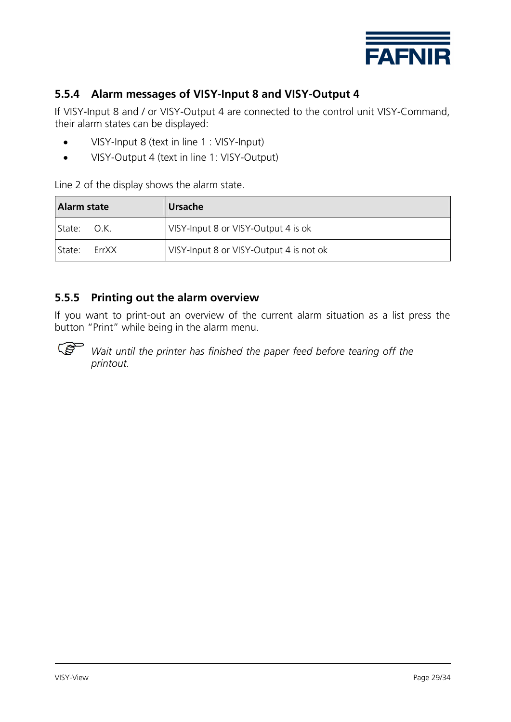

### **5.5.4 Alarm messages of VISY-Input 8 and VISY-Output 4**

If VISY-Input 8 and / or VISY-Output 4 are connected to the control unit VISY-Command, their alarm states can be displayed:

- VISY-Input 8 (text in line 1 : VISY-Input)
- VISY-Output 4 (text in line 1: VISY-Output)

Line 2 of the display shows the alarm state.

| <b>Alarm state</b> |       | <b>Ursache</b>                          |  |
|--------------------|-------|-----------------------------------------|--|
| State:             | O.K.  | VISY-Input 8 or VISY-Output 4 is ok     |  |
| State:             | FrrXX | VISY-Input 8 or VISY-Output 4 is not ok |  |

### **5.5.5 Printing out the alarm overview**

If you want to print-out an overview of the current alarm situation as a list press the button "Print" while being in the alarm menu.



*Wait until the printer has finished the paper feed before tearing off the printout.*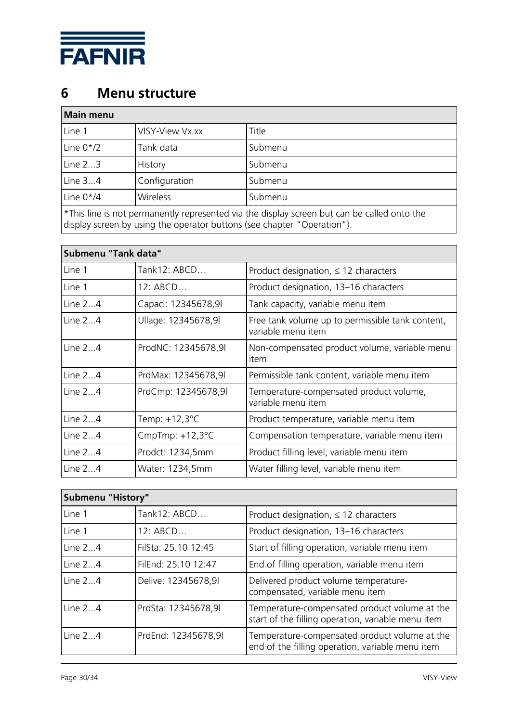

## <span id="page-29-0"></span>**6 Menu structure**

| <b>Main menu</b> |                 |         |  |  |
|------------------|-----------------|---------|--|--|
| Line 1           | VISY-View Vx.xx | Title   |  |  |
| Line $0*/2$      | Tank data       | Submenu |  |  |
| Line 23          | History         | Submenu |  |  |
| Line 34          | Configuration   | Submenu |  |  |
| Line $0*/4$      | <b>Wireless</b> | Submenu |  |  |
|                  |                 |         |  |  |

\*This line is not permanently represented via the display screen but can be called onto the display screen by using the operator buttons (see chapter "Operation").

| Submenu "Tank data" |                     |                                                                        |  |  |
|---------------------|---------------------|------------------------------------------------------------------------|--|--|
| Line 1              | Tank12: ABCD        | Product designation, $\leq 12$ characters                              |  |  |
| Line 1              | 12: ABCD            | Product designation, 13-16 characters                                  |  |  |
| Line 24             | Capaci: 12345678,9l | Tank capacity, variable menu item                                      |  |  |
| Line $24$           | Ullage: 12345678,9l | Free tank volume up to permissible tank content,<br>variable menu item |  |  |
| Line $24$           | ProdNC: 12345678,9l | Non-compensated product volume, variable menu<br>item                  |  |  |
| Line 24             | PrdMax: 12345678,9l | Permissible tank content, variable menu item                           |  |  |
| Line $24$           | PrdCmp: 12345678,9l | Temperature-compensated product volume,<br>variable menu item          |  |  |
| Line 24             | Temp: $+12,3$ °C    | Product temperature, variable menu item                                |  |  |
| Line $24$           | CmpTmp: $+12,3$ °C  | Compensation temperature, variable menu item                           |  |  |
| Line $24$           | Prodct: 1234,5mm    | Product filling level, variable menu item                              |  |  |
| Line 24             | Water: 1234,5mm     | Water filling level, variable menu item                                |  |  |

| Submenu "History" |                     |                                                                                                     |  |  |
|-------------------|---------------------|-----------------------------------------------------------------------------------------------------|--|--|
| Line 1            | Tank12: ABCD        | Product designation, $\leq$ 12 characters                                                           |  |  |
| Line 1            | 12: ABCD            | Product designation, 13-16 characters                                                               |  |  |
| Line $24$         | FilSta: 25.10 12:45 | Start of filling operation, variable menu item                                                      |  |  |
| Line $24$         | FilEnd: 25.10 12:47 | End of filling operation, variable menu item                                                        |  |  |
| Line $24$         | Delive: 12345678,9l | Delivered product volume temperature-<br>compensated, variable menu item                            |  |  |
| Line $24$         | PrdSta: 12345678,9l | Temperature-compensated product volume at the<br>start of the filling operation, variable menu item |  |  |
| Line $24$         | PrdEnd: 12345678,9l | Temperature-compensated product volume at the<br>end of the filling operation, variable menu item   |  |  |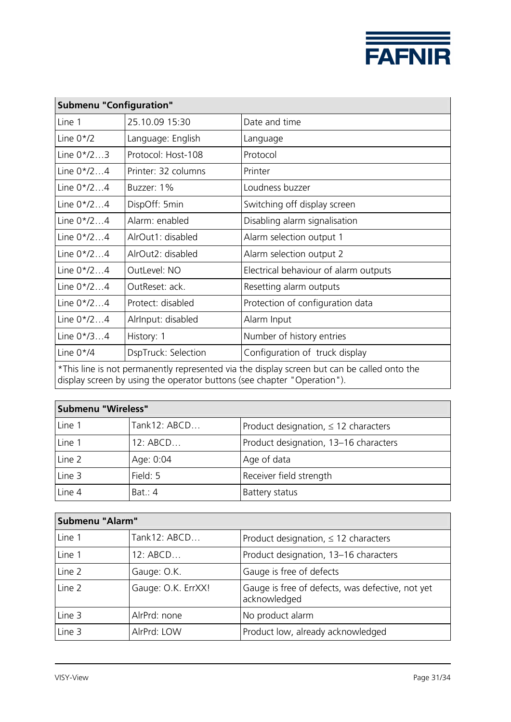

| <b>Submenu "Configuration"</b>                                                                                                                                         |                     |                                       |  |  |
|------------------------------------------------------------------------------------------------------------------------------------------------------------------------|---------------------|---------------------------------------|--|--|
| Line 1                                                                                                                                                                 | 25.10.09 15:30      | Date and time                         |  |  |
| Line $0*/2$                                                                                                                                                            | Language: English   | Language                              |  |  |
| Line $0*/23$                                                                                                                                                           | Protocol: Host-108  | Protocol                              |  |  |
| Line $0*/24$                                                                                                                                                           | Printer: 32 columns | Printer                               |  |  |
| Line $0*/24$                                                                                                                                                           | Buzzer: 1%          | Loudness buzzer                       |  |  |
| Line $0*/24$                                                                                                                                                           | DispOff: 5min       | Switching off display screen          |  |  |
| Line $0*/24$                                                                                                                                                           | Alarm: enabled      | Disabling alarm signalisation         |  |  |
| Line $0*/24$                                                                                                                                                           | AlrOut1: disabled   | Alarm selection output 1              |  |  |
| Line $0*/24$                                                                                                                                                           | AlrOut2: disabled   | Alarm selection output 2              |  |  |
| Line $0*/24$                                                                                                                                                           | OutLevel: NO        | Electrical behaviour of alarm outputs |  |  |
| Line $0*/24$                                                                                                                                                           | OutReset: ack.      | Resetting alarm outputs               |  |  |
| Line $0*/24$                                                                                                                                                           | Protect: disabled   | Protection of configuration data      |  |  |
| Line $0*/24$                                                                                                                                                           | AlrInput: disabled  | Alarm Input                           |  |  |
| Line $0*/34$                                                                                                                                                           | History: 1          | Number of history entries             |  |  |
| Line $0*/4$                                                                                                                                                            | DspTruck: Selection | Configuration of truck display        |  |  |
| *This line is not permanently represented via the display screen but can be called onto the<br>display screen by using the operator buttons (see chapter "Operation"). |                     |                                       |  |  |

| Submenu "Wireless" |              |                                           |  |  |
|--------------------|--------------|-------------------------------------------|--|--|
| Line 1             | Tank12: ABCD | Product designation, $\leq 12$ characters |  |  |
| Line 1             | 12: ABCD     | Product designation, 13-16 characters     |  |  |
| Line 2             | Age: 0:04    | Age of data                               |  |  |
| Line 3             | Field: 5     | Receiver field strength                   |  |  |
| Line 4             | Bat.: $4$    | Battery status                            |  |  |

| Submenu "Alarm" |                    |                                                                  |  |  |
|-----------------|--------------------|------------------------------------------------------------------|--|--|
| Line 1          | Tank12: ABCD       | Product designation, $\leq 12$ characters                        |  |  |
| Line 1          | 12: ABCD           | Product designation, 13-16 characters                            |  |  |
| Line 2          | Gauge: O.K.        | Gauge is free of defects                                         |  |  |
| Line 2          | Gauge: O.K. ErrXX! | Gauge is free of defects, was defective, not yet<br>acknowledged |  |  |
| Line 3          | AlrPrd: none       | No product alarm                                                 |  |  |
| Line 3          | AlrPrd: LOW        | Product low, already acknowledged                                |  |  |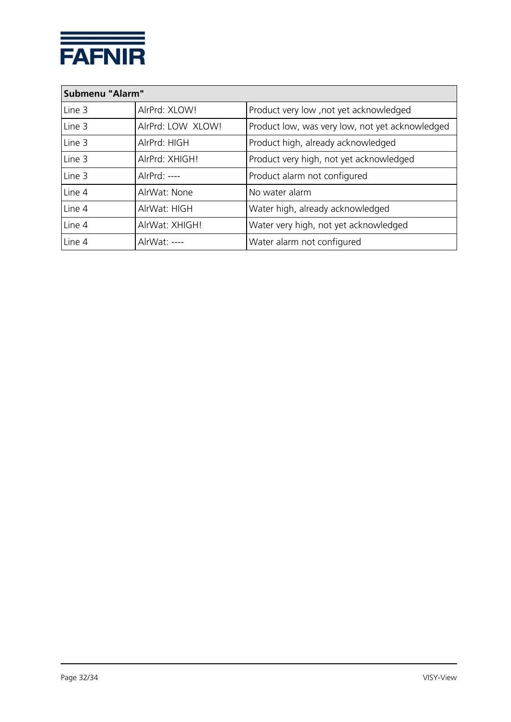

| Submenu "Alarm" |                   |                                                 |  |
|-----------------|-------------------|-------------------------------------------------|--|
| Line 3          | AlrPrd: XLOW!     | Product very low , not yet acknowledged         |  |
| Line 3          | AlrPrd: LOW XLOW! | Product low, was very low, not yet acknowledged |  |
| Line 3          | AlrPrd: HIGH      | Product high, already acknowledged              |  |
| Line 3          | AlrPrd: XHIGH!    | Product very high, not yet acknowledged         |  |
| Line 3          | AlrPrd: ----      | Product alarm not configured                    |  |
| Line 4          | AlrWat: None      | No water alarm                                  |  |
| Line 4          | AlrWat: HIGH      | Water high, already acknowledged                |  |
| Line 4          | AlrWat: XHIGH!    | Water very high, not yet acknowledged           |  |
| Line 4          | AlrWat: ----      | Water alarm not configured                      |  |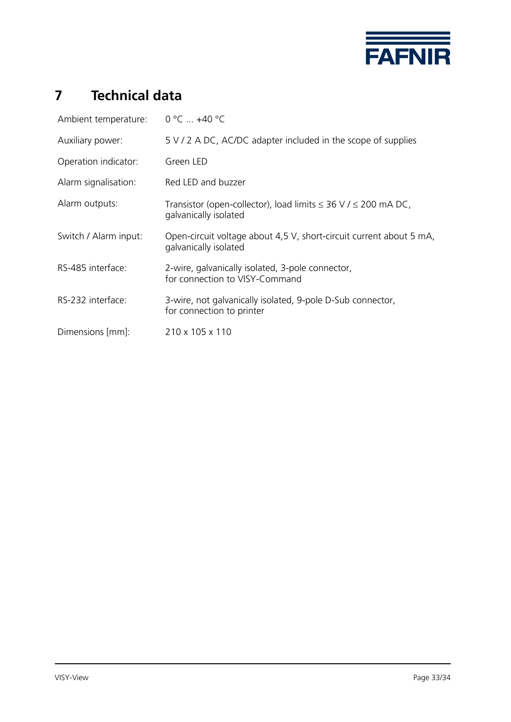

# <span id="page-32-0"></span>**7 Technical data**

| Ambient temperature:  | 0 °C  +40 °C                                                                                      |
|-----------------------|---------------------------------------------------------------------------------------------------|
| Auxiliary power:      | 5 V / 2 A DC, AC/DC adapter included in the scope of supplies                                     |
| Operation indicator:  | Green LED                                                                                         |
| Alarm signalisation:  | Red LED and buzzer                                                                                |
| Alarm outputs:        | Transistor (open-collector), load limits $\leq$ 36 V / $\leq$ 200 mA DC,<br>galvanically isolated |
| Switch / Alarm input: | Open-circuit voltage about 4,5 V, short-circuit current about 5 mA,<br>galvanically isolated      |
| RS-485 interface:     | 2-wire, galvanically isolated, 3-pole connector,<br>for connection to VISY-Command                |
| RS-232 interface:     | 3-wire, not galvanically isolated, 9-pole D-Sub connector,<br>for connection to printer           |
| Dimensions [mm]:      | 210 x 105 x 110                                                                                   |